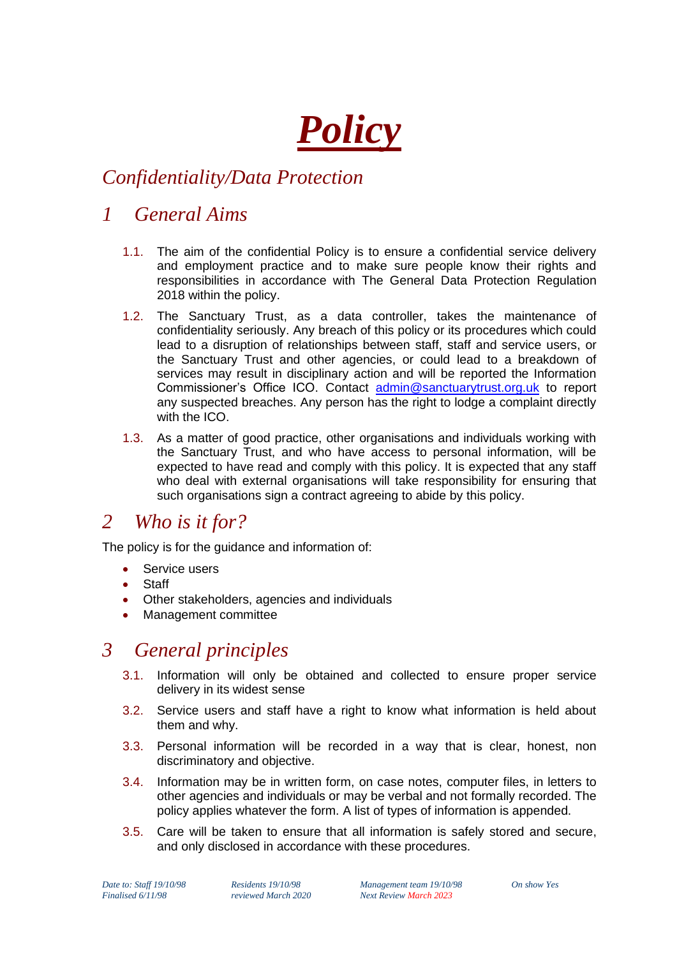# *Policy*

# *Confidentiality/Data Protection*

## *1 General Aims*

- 1.1. The aim of the confidential Policy is to ensure a confidential service delivery and employment practice and to make sure people know their rights and responsibilities in accordance with The General Data Protection Regulation 2018 within the policy.
- 1.2. The Sanctuary Trust, as a data controller, takes the maintenance of confidentiality seriously. Any breach of this policy or its procedures which could lead to a disruption of relationships between staff, staff and service users, or the Sanctuary Trust and other agencies, or could lead to a breakdown of services may result in disciplinary action and will be reported the Information Commissioner's Office ICO. Contact [admin@sanctuarytrust.org.uk](mailto:admin@sanctuarytrust.org.uk) to report any suspected breaches. Any person has the right to lodge a complaint directly with the ICO.
- 1.3. As a matter of good practice, other organisations and individuals working with the Sanctuary Trust, and who have access to personal information, will be expected to have read and comply with this policy. It is expected that any staff who deal with external organisations will take responsibility for ensuring that such organisations sign a contract agreeing to abide by this policy.

### *2 Who is it for?*

The policy is for the guidance and information of:

- Service users
- **Staff**
- Other stakeholders, agencies and individuals
- Management committee

## *3 General principles*

- 3.1. Information will only be obtained and collected to ensure proper service delivery in its widest sense
- 3.2. Service users and staff have a right to know what information is held about them and why.
- 3.3. Personal information will be recorded in a way that is clear, honest, non discriminatory and objective.
- 3.4. Information may be in written form, on case notes, computer files, in letters to other agencies and individuals or may be verbal and not formally recorded. The policy applies whatever the form. A list of types of information is appended.
- 3.5. Care will be taken to ensure that all information is safely stored and secure, and only disclosed in accordance with these procedures.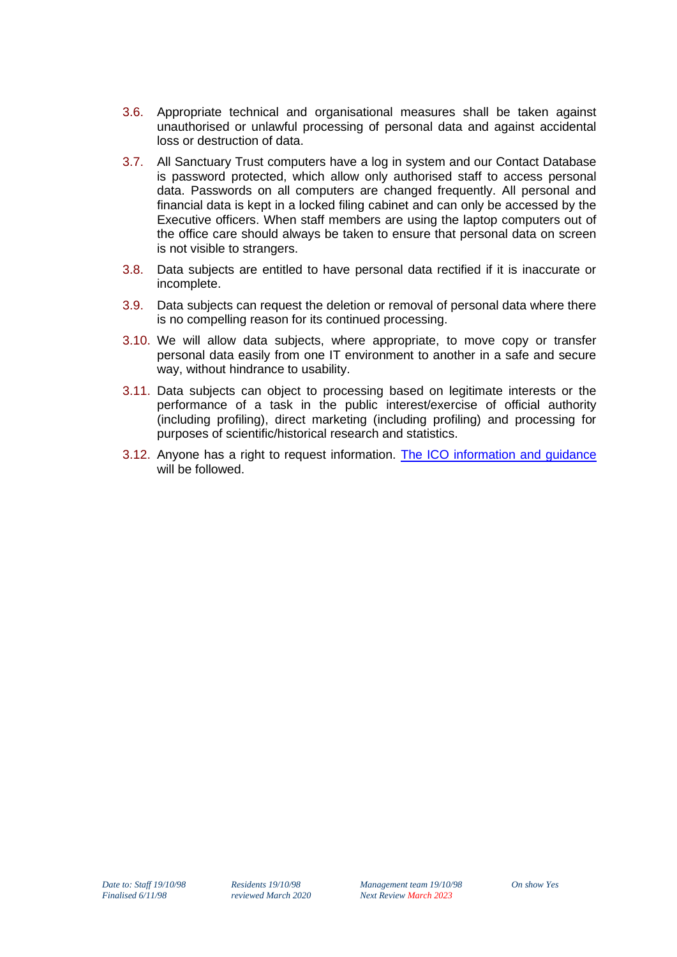- 3.6. Appropriate technical and organisational measures shall be taken against unauthorised or unlawful processing of personal data and against accidental loss or destruction of data.
- 3.7. All Sanctuary Trust computers have a log in system and our Contact Database is password protected, which allow only authorised staff to access personal data. Passwords on all computers are changed frequently. All personal and financial data is kept in a locked filing cabinet and can only be accessed by the Executive officers. When staff members are using the laptop computers out of the office care should always be taken to ensure that personal data on screen is not visible to strangers.
- 3.8. Data subjects are entitled to have personal data rectified if it is inaccurate or incomplete.
- 3.9. Data subjects can request the deletion or removal of personal data where there is no compelling reason for its continued processing.
- 3.10. We will allow data subjects, where appropriate, to move copy or transfer personal data easily from one IT environment to another in a safe and secure way, without hindrance to usability.
- 3.11. Data subjects can object to processing based on legitimate interests or the performance of a task in the public interest/exercise of official authority (including profiling), direct marketing (including profiling) and processing for purposes of scientific/historical research and statistics.
- 3.12. Anyone has a right to request information. [The ICO information and guidance](https://ico.org.uk/for-organisations/guide-to-freedom-of-information/receiving-a-request/) will be followed.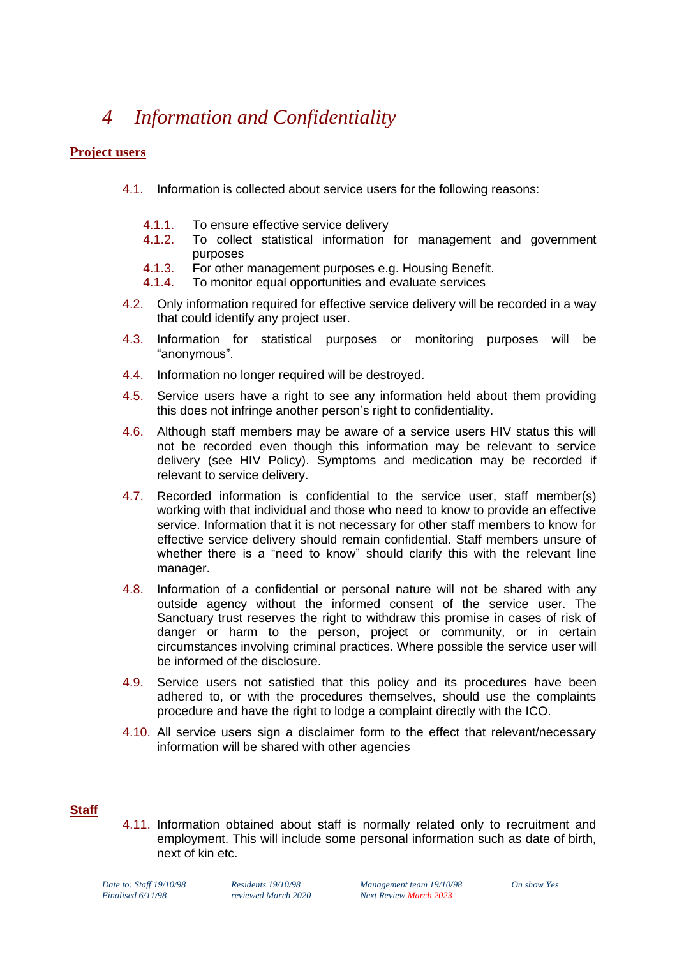# *4 Information and Confidentiality*

#### **Project users**

- 4.1. Information is collected about service users for the following reasons:
	- 4.1.1. To ensure effective service delivery
	- 4.1.2. To collect statistical information for management and government purposes
	- 4.1.3. For other management purposes e.g. Housing Benefit.
	- 4.1.4. To monitor equal opportunities and evaluate services
- 4.2. Only information required for effective service delivery will be recorded in a way that could identify any project user.
- 4.3. Information for statistical purposes or monitoring purposes will be "anonymous".
- 4.4. Information no longer required will be destroyed.
- 4.5. Service users have a right to see any information held about them providing this does not infringe another person's right to confidentiality.
- 4.6. Although staff members may be aware of a service users HIV status this will not be recorded even though this information may be relevant to service delivery (see HIV Policy). Symptoms and medication may be recorded if relevant to service delivery.
- 4.7. Recorded information is confidential to the service user, staff member(s) working with that individual and those who need to know to provide an effective service. Information that it is not necessary for other staff members to know for effective service delivery should remain confidential. Staff members unsure of whether there is a "need to know" should clarify this with the relevant line manager.
- 4.8. Information of a confidential or personal nature will not be shared with any outside agency without the informed consent of the service user. The Sanctuary trust reserves the right to withdraw this promise in cases of risk of danger or harm to the person, project or community, or in certain circumstances involving criminal practices. Where possible the service user will be informed of the disclosure.
- 4.9. Service users not satisfied that this policy and its procedures have been adhered to, or with the procedures themselves, should use the complaints procedure and have the right to lodge a complaint directly with the ICO.
- 4.10. All service users sign a disclaimer form to the effect that relevant/necessary information will be shared with other agencies

#### **Staff**

4.11. Information obtained about staff is normally related only to recruitment and employment. This will include some personal information such as date of birth, next of kin etc.

*Date to: Staff 19/10/98 Residents 19/10/98 Management team 19/10/98 On show Yes Finalised 6/11/98 reviewed March 2020 Next Review March 2023*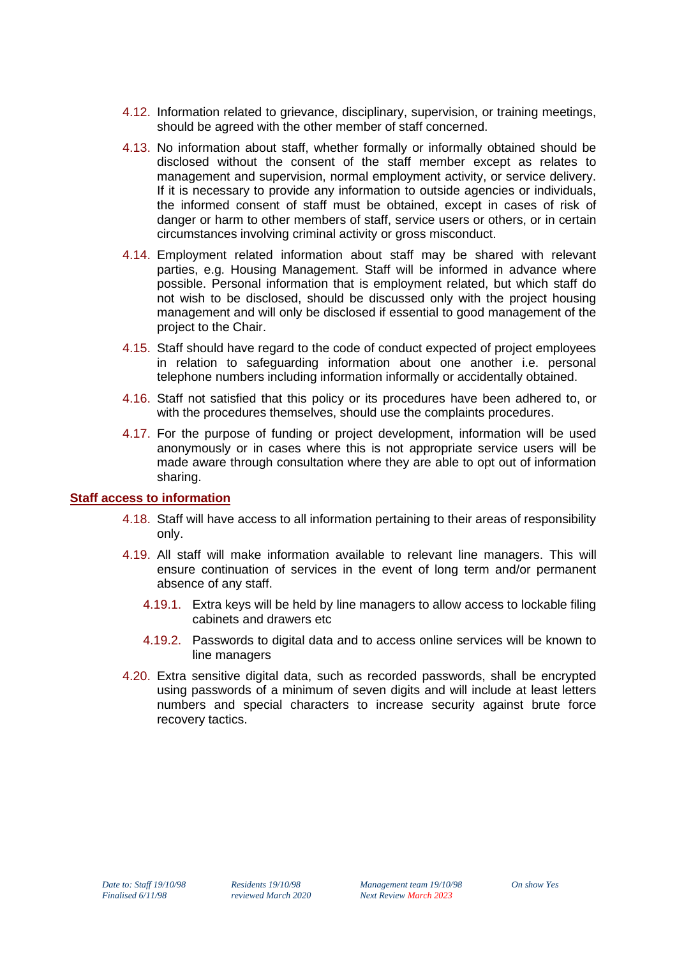- 4.12. Information related to grievance, disciplinary, supervision, or training meetings, should be agreed with the other member of staff concerned.
- 4.13. No information about staff, whether formally or informally obtained should be disclosed without the consent of the staff member except as relates to management and supervision, normal employment activity, or service delivery. If it is necessary to provide any information to outside agencies or individuals, the informed consent of staff must be obtained, except in cases of risk of danger or harm to other members of staff, service users or others, or in certain circumstances involving criminal activity or gross misconduct.
- 4.14. Employment related information about staff may be shared with relevant parties, e.g. Housing Management. Staff will be informed in advance where possible. Personal information that is employment related, but which staff do not wish to be disclosed, should be discussed only with the project housing management and will only be disclosed if essential to good management of the project to the Chair.
- 4.15. Staff should have regard to the code of conduct expected of project employees in relation to safeguarding information about one another i.e. personal telephone numbers including information informally or accidentally obtained.
- 4.16. Staff not satisfied that this policy or its procedures have been adhered to, or with the procedures themselves, should use the complaints procedures.
- 4.17. For the purpose of funding or project development, information will be used anonymously or in cases where this is not appropriate service users will be made aware through consultation where they are able to opt out of information sharing.

#### **Staff access to information**

- 4.18. Staff will have access to all information pertaining to their areas of responsibility only.
- 4.19. All staff will make information available to relevant line managers. This will ensure continuation of services in the event of long term and/or permanent absence of any staff.
	- 4.19.1. Extra keys will be held by line managers to allow access to lockable filing cabinets and drawers etc
	- 4.19.2. Passwords to digital data and to access online services will be known to line managers
- 4.20. Extra sensitive digital data, such as recorded passwords, shall be encrypted using passwords of a minimum of seven digits and will include at least letters numbers and special characters to increase security against brute force recovery tactics.